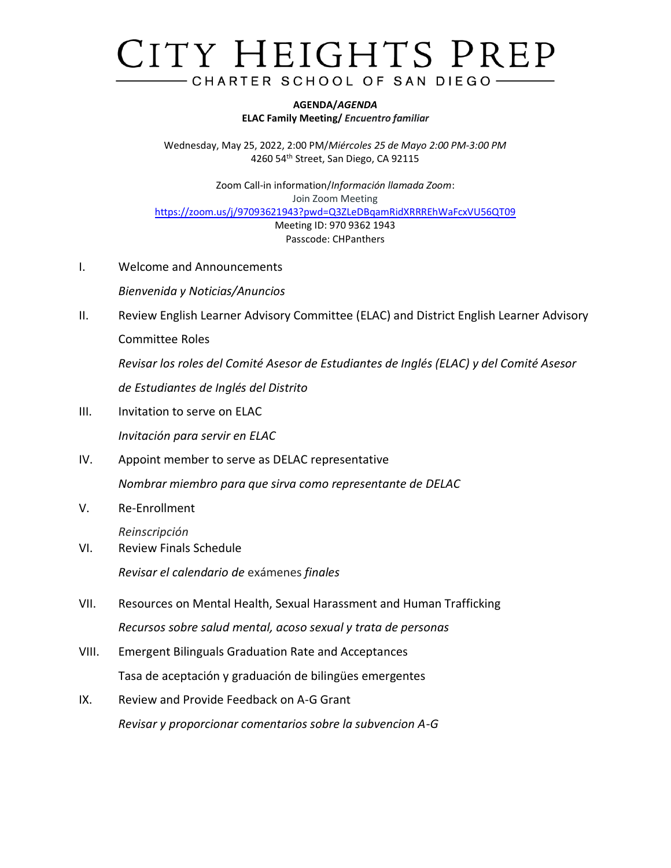## CITY HEIGHTS PREP CHARTER SCHOOL OF SAN DIEGO-

**AGENDA/***AGENDA* **ELAC Family Meeting/** *Encuentro familiar*

Wednesday, May 25, 2022, 2:00 PM/*Miércoles 25 de Mayo 2:00 PM-3:00 PM* 4260 54th Street, San Diego, CA 92115

Zoom Call-in information/*Información llamada Zoom*: Join Zoom Meeting <https://zoom.us/j/97093621943?pwd=Q3ZLeDBqamRidXRRREhWaFcxVU56QT09> Meeting ID: 970 9362 1943 Passcode: CHPanthers

I. Welcome and Announcements

*Bienvenida y Noticias/Anuncios*

II. Review English Learner Advisory Committee (ELAC) and District English Learner Advisory Committee Roles

*Revisar los roles del Comité Asesor de Estudiantes de Inglés (ELAC) y del Comité Asesor de Estudiantes de Inglés del Distrito*

- III. Invitation to serve on ELAC *Invitación para servir en ELAC*
- IV. Appoint member to serve as DELAC representative *Nombrar miembro para que sirva como representante de DELAC*
- V. Re-Enrollment

*Reinscripción*

- VI. Review Finals Schedule *Revisar el calendario de* exámenes *finales*
- VII. Resources on Mental Health, Sexual Harassment and Human Trafficking *Recursos sobre salud mental, acoso sexual y trata de personas*
- VIII. Emergent Bilinguals Graduation Rate and Acceptances Tasa de aceptación y graduación de bilingües emergentes
- IX. Review and Provide Feedback on A-G Grant *Revisar y proporcionar comentarios sobre la subvencion A-G*